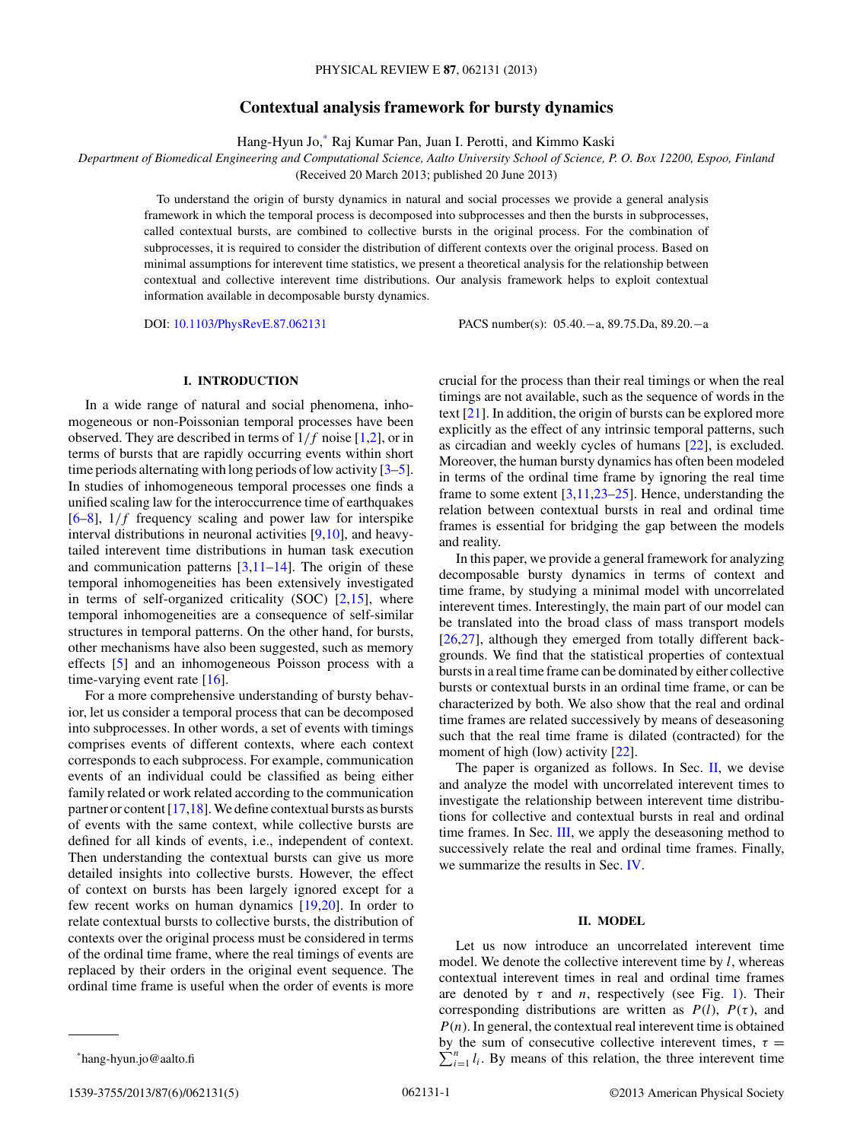# **Contextual analysis framework for bursty dynamics**

Hang-Hyun Jo,\* Raj Kumar Pan, Juan I. Perotti, and Kimmo Kaski

*Department of Biomedical Engineering and Computational Science, Aalto University School of Science, P. O. Box 12200, Espoo, Finland*

(Received 20 March 2013; published 20 June 2013)

To understand the origin of bursty dynamics in natural and social processes we provide a general analysis framework in which the temporal process is decomposed into subprocesses and then the bursts in subprocesses, called contextual bursts, are combined to collective bursts in the original process. For the combination of subprocesses, it is required to consider the distribution of different contexts over the original process. Based on minimal assumptions for interevent time statistics, we present a theoretical analysis for the relationship between contextual and collective interevent time distributions. Our analysis framework helps to exploit contextual information available in decomposable bursty dynamics.

DOI: [10.1103/PhysRevE.87.062131](http://dx.doi.org/10.1103/PhysRevE.87.062131) PACS number(s): 05*.*40*.*−a, 89*.*75*.*Da, 89*.*20*.*−a

# **I. INTRODUCTION**

In a wide range of natural and social phenomena, inhomogeneous or non-Poissonian temporal processes have been observed. They are described in terms of 1*/f* noise [\[1,2\]](#page-4-0), or in terms of bursts that are rapidly occurring events within short time periods alternating with long periods of low activity [\[3–5\]](#page-4-0). In studies of inhomogeneous temporal processes one finds a unified scaling law for the interoccurrence time of earthquakes [\[6–8\]](#page-4-0), 1*/f* frequency scaling and power law for interspike interval distributions in neuronal activities [\[9,10\]](#page-4-0), and heavytailed interevent time distributions in human task execution and communication patterns [\[3,11–14\]](#page-4-0). The origin of these temporal inhomogeneities has been extensively investigated in terms of self-organized criticality (SOC)  $[2,15]$ , where temporal inhomogeneities are a consequence of self-similar structures in temporal patterns. On the other hand, for bursts, other mechanisms have also been suggested, such as memory effects [\[5\]](#page-4-0) and an inhomogeneous Poisson process with a time-varying event rate  $[16]$ .

For a more comprehensive understanding of bursty behavior, let us consider a temporal process that can be decomposed into subprocesses. In other words, a set of events with timings comprises events of different contexts, where each context corresponds to each subprocess. For example, communication events of an individual could be classified as being either family related or work related according to the communication partner or content [\[17,18\]](#page-4-0). We define contextual bursts as bursts of events with the same context, while collective bursts are defined for all kinds of events, i.e., independent of context. Then understanding the contextual bursts can give us more detailed insights into collective bursts. However, the effect of context on bursts has been largely ignored except for a few recent works on human dynamics [\[19,20\]](#page-4-0). In order to relate contextual bursts to collective bursts, the distribution of contexts over the original process must be considered in terms of the ordinal time frame, where the real timings of events are replaced by their orders in the original event sequence. The ordinal time frame is useful when the order of events is more

1539-3755/2013/87(6)/062131(5) ©2013 American Physical Society 062131-1

crucial for the process than their real timings or when the real timings are not available, such as the sequence of words in the text [\[21\]](#page-4-0). In addition, the origin of bursts can be explored more explicitly as the effect of any intrinsic temporal patterns, such as circadian and weekly cycles of humans [\[22\]](#page-4-0), is excluded. Moreover, the human bursty dynamics has often been modeled in terms of the ordinal time frame by ignoring the real time frame to some extent  $[3,11,23-25]$ . Hence, understanding the relation between contextual bursts in real and ordinal time frames is essential for bridging the gap between the models and reality.

In this paper, we provide a general framework for analyzing decomposable bursty dynamics in terms of context and time frame, by studying a minimal model with uncorrelated interevent times. Interestingly, the main part of our model can be translated into the broad class of mass transport models [\[26,27\]](#page-4-0), although they emerged from totally different backgrounds. We find that the statistical properties of contextual bursts in a real time frame can be dominated by either collective bursts or contextual bursts in an ordinal time frame, or can be characterized by both. We also show that the real and ordinal time frames are related successively by means of deseasoning such that the real time frame is dilated (contracted) for the moment of high (low) activity [\[22\]](#page-4-0).

The paper is organized as follows. In Sec.  $II$ , we devise and analyze the model with uncorrelated interevent times to investigate the relationship between interevent time distributions for collective and contextual bursts in real and ordinal time frames. In Sec. [III,](#page-3-0) we apply the deseasoning method to successively relate the real and ordinal time frames. Finally, we summarize the results in Sec. [IV.](#page-3-0)

## **II. MODEL**

Let us now introduce an uncorrelated interevent time model. We denote the collective interevent time by *l*, whereas contextual interevent times in real and ordinal time frames are denoted by  $\tau$  and *n*, respectively (see Fig. [1\)](#page-1-0). Their corresponding distributions are written as  $P(l)$ ,  $P(\tau)$ , and  $P(n)$ . In general, the contextual real interevent time is obtained  $\sum_{i=1}^{n} l_i$ . By means of this relation, the three interevent time by the sum of consecutive collective interevent times,  $\tau$  =

<sup>\*</sup>hang-hyun.jo@aalto.fi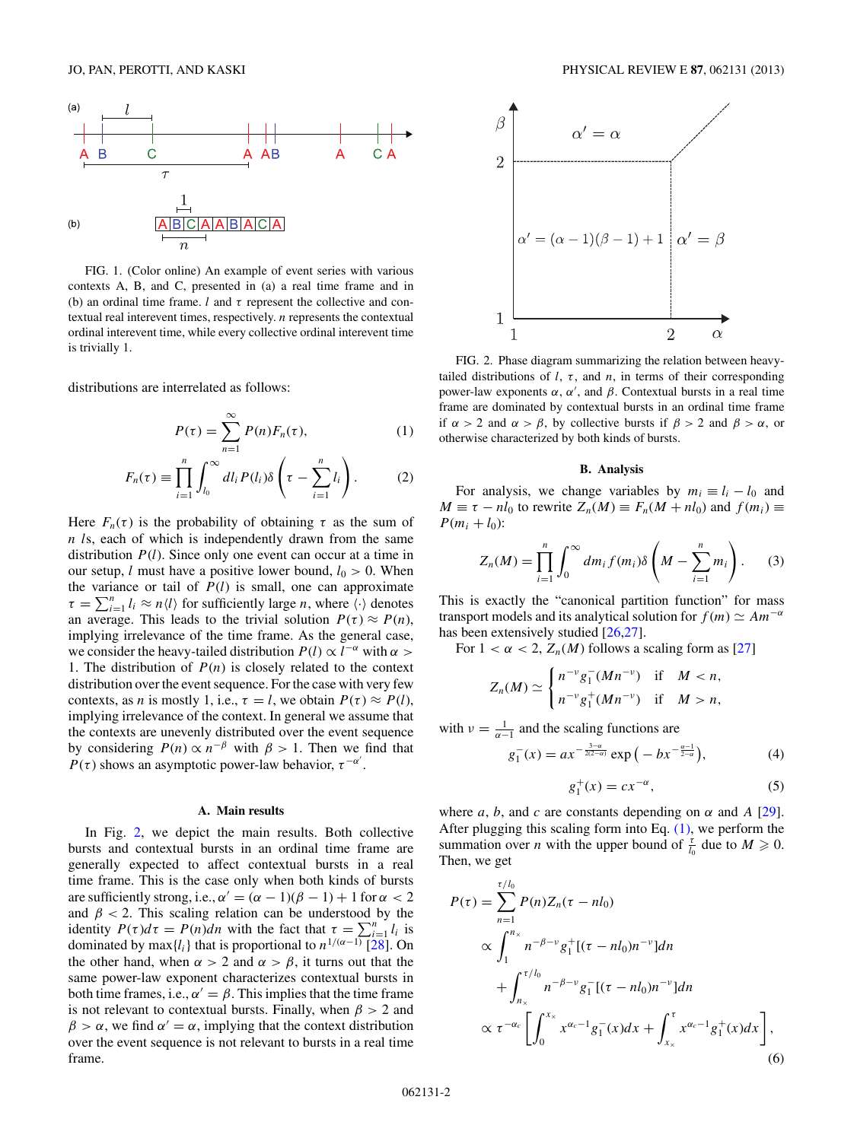<span id="page-1-0"></span>

FIG. 1. (Color online) An example of event series with various contexts A, B, and C, presented in (a) a real time frame and in (b) an ordinal time frame.  $l$  and  $\tau$  represent the collective and contextual real interevent times, respectively. *n* represents the contextual ordinal interevent time, while every collective ordinal interevent time is trivially 1.

distributions are interrelated as follows:

$$
P(\tau) = \sum_{n=1}^{\infty} P(n) F_n(\tau), \qquad (1)
$$

$$
F_n(\tau) \equiv \prod_{i=1}^n \int_{l_0}^{\infty} dl_i P(l_i) \delta\left(\tau - \sum_{i=1}^n l_i\right). \tag{2}
$$

Here  $F_n(\tau)$  is the probability of obtaining  $\tau$  as the sum of *n l*s, each of which is independently drawn from the same distribution *P*(*l*). Since only one event can occur at a time in our setup, *l* must have a positive lower bound,  $l_0 > 0$ . When the variance or tail of  $P(l)$  is small, one can approximate  $\tau = \sum_{i=1}^{n} l_i \approx n \langle l \rangle$  for sufficiently large *n*, where  $\langle \cdot \rangle$  denotes an average. This leads to the trivial solution  $P(\tau) \approx P(n)$ , implying irrelevance of the time frame. As the general case, we consider the heavy-tailed distribution  $P(l) \propto l^{-\alpha}$  with  $\alpha >$ 1. The distribution of  $P(n)$  is closely related to the context distribution over the event sequence. For the case with very few contexts, as *n* is mostly 1, i.e.,  $\tau = l$ , we obtain  $P(\tau) \approx P(l)$ , implying irrelevance of the context. In general we assume that the contexts are unevenly distributed over the event sequence by considering  $P(n) \propto n^{-\beta}$  with  $\beta > 1$ . Then we find that  $P(\tau)$  shows an asymptotic power-law behavior,  $\tau^{-\alpha'}$ .

### **A. Main results**

In Fig. 2, we depict the main results. Both collective bursts and contextual bursts in an ordinal time frame are generally expected to affect contextual bursts in a real time frame. This is the case only when both kinds of bursts are sufficiently strong, i.e.,  $\alpha' = (\alpha - 1)(\beta - 1) + 1$  for  $\alpha < 2$ and  $\beta$  < 2. This scaling relation can be understood by the identity  $P(\tau)d\tau = P(n)dn$  with the fact that  $\tau = \sum_{i=1}^{n} l_i$  is dominated by max $\{l_i\}$  that is proportional to  $n^{1/(\alpha-1)}$  [\[28\]](#page-4-0). On the other hand, when  $\alpha > 2$  and  $\alpha > \beta$ , it turns out that the same power-law exponent characterizes contextual bursts in both time frames, i.e.,  $\alpha' = \beta$ . This implies that the time frame is not relevant to contextual bursts. Finally, when  $\beta > 2$  and  $\beta > \alpha$ , we find  $\alpha' = \alpha$ , implying that the context distribution over the event sequence is not relevant to bursts in a real time frame.



FIG. 2. Phase diagram summarizing the relation between heavytailed distributions of  $l$ ,  $\tau$ , and  $n$ , in terms of their corresponding power-law exponents  $\alpha$ ,  $\alpha'$ , and  $\beta$ . Contextual bursts in a real time frame are dominated by contextual bursts in an ordinal time frame if  $\alpha > 2$  and  $\alpha > \beta$ , by collective bursts if  $\beta > 2$  and  $\beta > \alpha$ , or otherwise characterized by both kinds of bursts.

#### **B. Analysis**

For analysis, we change variables by  $m_i \equiv l_i - l_0$  and  $M \equiv \tau - n l_0$  to rewrite  $Z_n(M) \equiv F_n(M + n l_0)$  and  $f(m_i) \equiv$  $P(m_i + l_0)$ :

$$
Z_n(M) = \prod_{i=1}^n \int_0^\infty dm_i f(m_i) \delta\left(M - \sum_{i=1}^n m_i\right).
$$
 (3)

This is exactly the "canonical partition function" for mass transport models and its analytical solution for  $f(m) \simeq Am^{-a}$ has been extensively studied [\[26,27\]](#page-4-0).

For  $1 < \alpha < 2$ ,  $Z_n(M)$  follows a scaling form as [\[27\]](#page-4-0)

$$
Z_n(M) \simeq \begin{cases} n^{-\nu} g_1^-(Mn^{-\nu}) & \text{if } M < n, \\ n^{-\nu} g_1^+(Mn^{-\nu}) & \text{if } M > n, \end{cases}
$$

with  $\nu = \frac{1}{\alpha - 1}$  and the scaling functions are

$$
g_1^-(x) = a x^{-\frac{3-\alpha}{2(2-\alpha)}} \exp\left(-bx^{-\frac{\alpha-1}{2-\alpha}}\right),\tag{4}
$$

$$
g_1^+(x) = cx^{-\alpha},\tag{5}
$$

where *a*, *b*, and *c* are constants depending on  $\alpha$  and *A* [\[29\]](#page-4-0). After plugging this scaling form into Eq.  $(1)$ , we perform the summation over *n* with the upper bound of  $\frac{\tau}{l_0}$  due to  $M \ge 0$ . Then, we get

$$
P(\tau) = \sum_{n=1}^{\tau/l_0} P(n) Z_n(\tau - n l_0)
$$
  
\n
$$
\propto \int_1^{n_x} n^{-\beta - \nu} g_1^+[(\tau - n l_0) n^{-\nu}] dn
$$
  
\n
$$
+ \int_{n_x}^{\tau/l_0} n^{-\beta - \nu} g_1^-[(\tau - n l_0) n^{-\nu}] dn
$$
  
\n
$$
\propto \tau^{-\alpha_c} \left[ \int_0^{x_x} x^{\alpha_c - 1} g_1^-(x) dx + \int_{x_x}^{\tau} x^{\alpha_c - 1} g_1^+(x) dx \right],
$$
  
\n(6)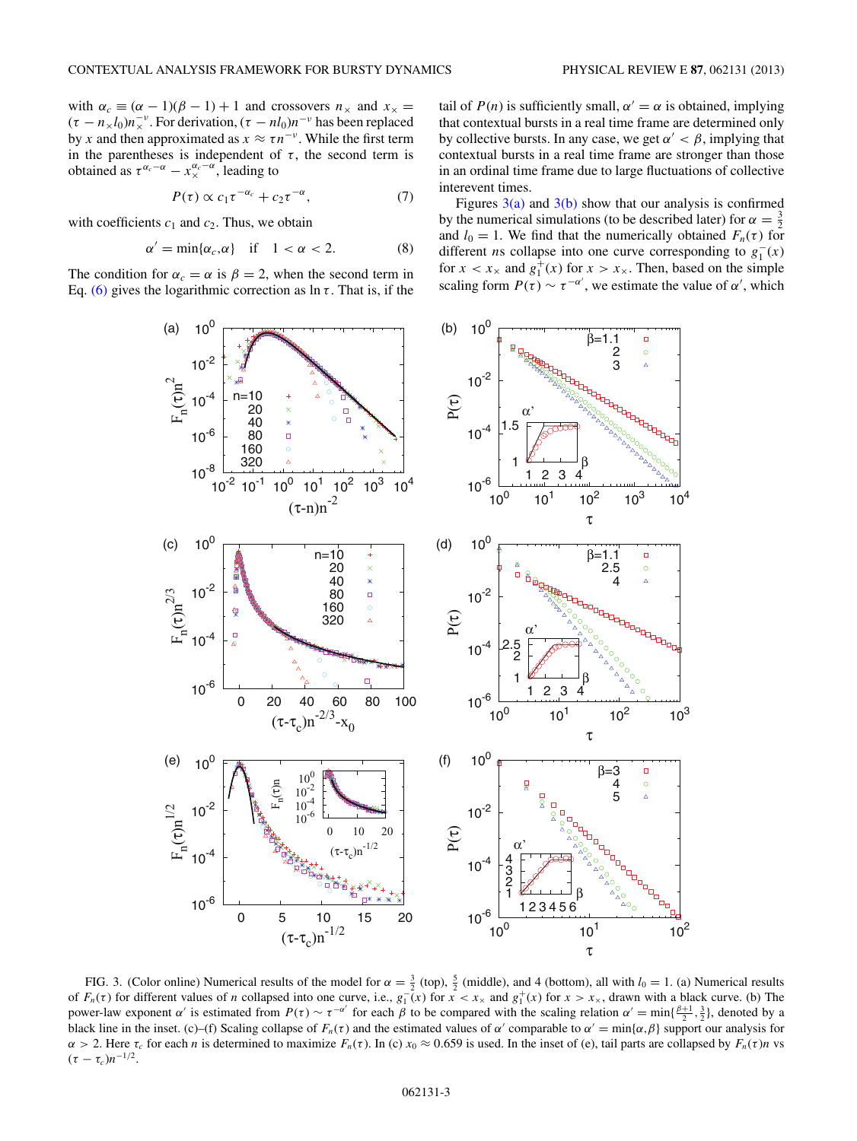<span id="page-2-0"></span>with  $\alpha_c \equiv (\alpha - 1)(\beta - 1) + 1$  and crossovers  $n_x$  and  $x_x =$  $(\tau - n_x l_0) n_x^{-\nu}$ . For derivation,  $(\tau - n l_0) n^{-\nu}$  has been replaced by *x* and then approximated as  $x \approx \tau n^{-\nu}$ . While the first term in the parentheses is independent of  $\tau$ , the second term is obtained as  $\tau^{\alpha_c - \alpha} - x_{\times}^{\alpha_c - \alpha}$ , leading to

$$
P(\tau) \propto c_1 \tau^{-\alpha_c} + c_2 \tau^{-\alpha}, \tag{7}
$$

with coefficients  $c_1$  and  $c_2$ . Thus, we obtain

$$
\alpha' = \min\{\alpha_c, \alpha\} \quad \text{if} \quad 1 < \alpha < 2. \tag{8}
$$

The condition for  $\alpha_c = \alpha$  is  $\beta = 2$ , when the second term in Eq. [\(6\)](#page-1-0) gives the logarithmic correction as  $\ln \tau$ . That is, if the tail of  $P(n)$  is sufficiently small,  $\alpha' = \alpha$  is obtained, implying that contextual bursts in a real time frame are determined only by collective bursts. In any case, we get  $\alpha' < \beta$ , implying that contextual bursts in a real time frame are stronger than those in an ordinal time frame due to large fluctuations of collective interevent times.

Figures  $3(a)$  and  $3(b)$  show that our analysis is confirmed by the numerical simulations (to be described later) for  $\alpha = \frac{3}{2}$ and  $l_0 = 1$ . We find that the numerically obtained  $F_n(\tau)$  for different *ns* collapse into one curve corresponding to  $g_1^-(x)$ for  $x < x_{\times}$  and  $g_1^+(x)$  for  $x > x_{\times}$ . Then, based on the simple scaling form  $P(\tau) \sim \tau^{-\alpha'}$ , we estimate the value of  $\alpha'$ , which



FIG. 3. (Color online) Numerical results of the model for  $\alpha = \frac{3}{2}$  (top),  $\frac{5}{2}$  (middle), and 4 (bottom), all with  $l_0 = 1$ . (a) Numerical results of  $F_n(\tau)$  for different values of *n* collapsed into one curve, i.e.,  $g_1(\tau)$  for  $\tau < x_\times$  and  $g_1^+(\tau)$  for  $\tau > x_\times$ , drawn with a black curve. (b) The power-law exponent *α*' is estimated from  $P(\tau) \sim \tau^{-\alpha'}$  for each  $\beta$  to be compared with the scaling relation  $\alpha' = \min\{\frac{\beta+1}{2}, \frac{3}{2}\}\)$ , denoted by a black line in the inset. (c)–(f) Scaling collapse of  $F_n(\tau)$  and the estimated values of  $\alpha'$  comparable to  $\alpha' = \min{\{\alpha, \beta\}}$  support our analysis for *α* > 2. Here *τ<sub>c</sub>* for each *n* is determined to maximize  $F_n$ (*τ*). In (*c*) *x*<sub>0</sub> ≈ 0.659 is used. In the inset of (*e*), tail parts are collapsed by  $F_n$ (*τ*)*n* vs  $(\tau - \tau_c)n^{-1/2}$ .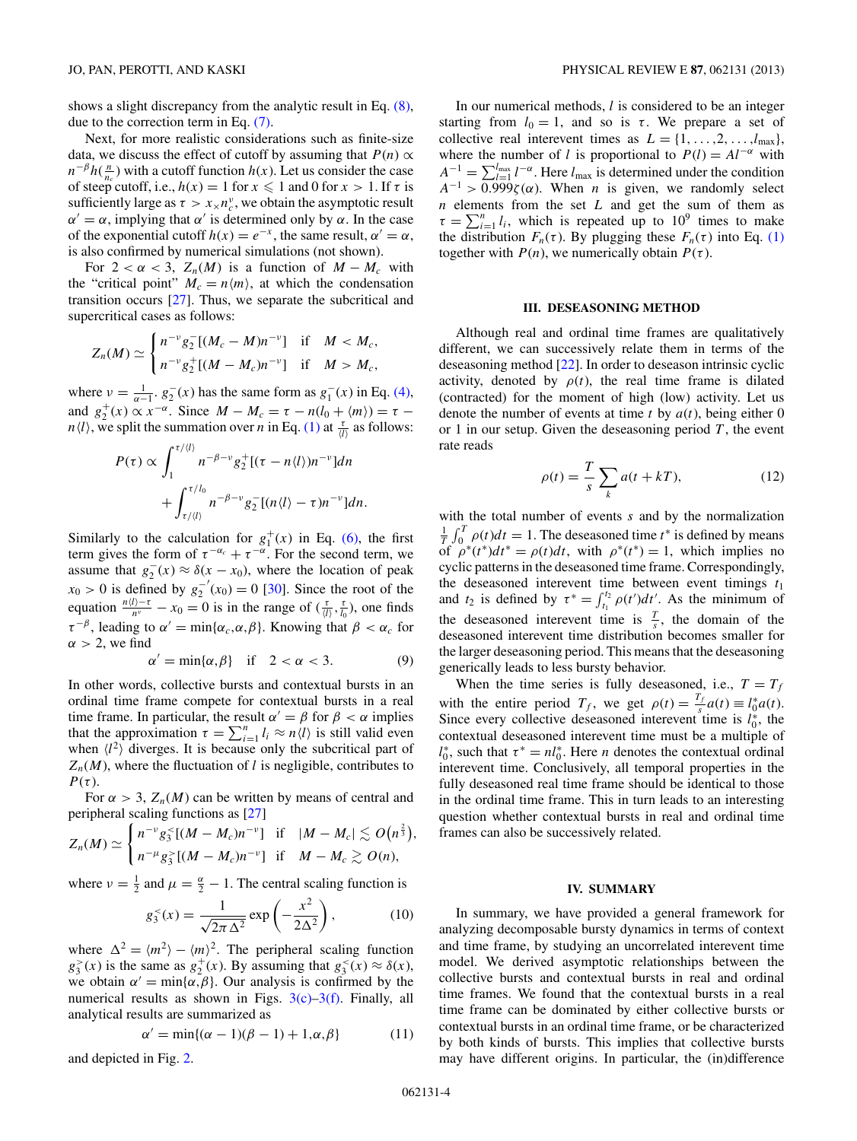<span id="page-3-0"></span>shows a slight discrepancy from the analytic result in Eq. [\(8\),](#page-2-0) due to the correction term in Eq. [\(7\).](#page-2-0)

Next, for more realistic considerations such as finite-size data, we discuss the effect of cutoff by assuming that  $P(n) \propto$  $n^{-\beta} h(\frac{n}{n_c})$  with a cutoff function *h*(*x*). Let us consider the case of steep cutoff, i.e.,  $h(x) = 1$  for  $x \le 1$  and 0 for  $x > 1$ . If  $\tau$  is sufficiently large as  $\tau > x_{\times}n_c^{\nu}$ , we obtain the asymptotic result  $\alpha' = \alpha$ , implying that  $\alpha'$  is determined only by  $\alpha$ . In the case of the exponential cutoff  $h(x) = e^{-x}$ , the same result,  $\alpha' = \alpha$ , is also confirmed by numerical simulations (not shown).

For  $2 < \alpha < 3$ ,  $Z_n(M)$  is a function of  $M - M_c$  with the "critical point"  $M_c = n \langle m \rangle$ , at which the condensation transition occurs [\[27\]](#page-4-0). Thus, we separate the subcritical and supercritical cases as follows:

$$
Z_n(M) \simeq \begin{cases} n^{-\nu} g_2^-[ (M_c - M) n^{-\nu}] & \text{if} \quad M < M_c, \\ n^{-\nu} g_2^+[ (M - M_c) n^{-\nu}] & \text{if} \quad M > M_c, \end{cases}
$$

where  $v = \frac{1}{\alpha - 1}$ .  $g_2^-(x)$  has the same form as  $g_1^-(x)$  in Eq. [\(4\),](#page-1-0) and  $g_2^+(x) \propto x^{-\alpha}$ . Since  $M - M_c = \tau - n(l_0 + \langle m \rangle) = \tau$ *n* $\langle l \rangle$ , we split the summation over *n* in Eq. [\(1\)](#page-1-0) at  $\frac{\tau}{\langle l \rangle}$  as follows:

$$
P(\tau) \propto \int_1^{\tau/l} n^{-\beta - \nu} g_2^+ [(\tau - n\langle l \rangle) n^{-\nu}] dn
$$
  
+ 
$$
\int_{\tau/l}^{\tau/l_0} n^{-\beta - \nu} g_2^- [(n\langle l \rangle - \tau) n^{-\nu}] dn.
$$

Similarly to the calculation for  $g_1^+(x)$  in Eq. [\(6\),](#page-1-0) the first term gives the form of  $\tau^{-\alpha_c} + \tau^{-\alpha}$ . For the second term, we assume that  $g_2^-(x) \approx \delta(x - x_0)$ , where the location of peak  $x_0 > 0$  is defined by  $g_2^ (x_0) = 0$  [\[30\]](#page-4-0). Since the root of the equation  $\frac{n(l)-\tau}{n^{\nu}} - x_0 = 0$  is in the range of  $(\frac{\tau}{(l)}, \frac{\tau}{l_0})$ , one finds  $\tau^{-\beta}$ , leading to  $\alpha' = \min{\{\alpha_c, \alpha, \beta\}}$ . Knowing that  $\beta < \alpha_c$  for  $\alpha$  > 2, we find

$$
\alpha' = \min\{\alpha, \beta\} \quad \text{if} \quad 2 < \alpha < 3. \tag{9}
$$

In other words, collective bursts and contextual bursts in an ordinal time frame compete for contextual bursts in a real time frame. In particular, the result  $\alpha' = \beta$  for  $\beta < \alpha$  implies that the approximation  $\tau = \sum_{i=1}^{n} l_i \approx n \langle l \rangle$  is still valid even when  $\langle l^2 \rangle$  diverges. It is because only the subcritical part of  $Z_n(M)$ , where the fluctuation of *l* is negligible, contributes to  $P(\tau)$ .

For  $\alpha > 3$ ,  $Z_n(M)$  can be written by means of central and peripheral scaling functions as [\[27\]](#page-4-0)

$$
Z_n(M) \simeq \begin{cases} n^{-\nu} g_3^{\leq} [(M-M_c)n^{-\nu}] & \text{if} \quad |M-M_c| \lesssim O(n^{\frac{2}{3}}), \\ n^{-\mu} g_3^{\geq} [(M-M_c)n^{-\nu}] & \text{if} \quad M-M_c \gtrsim O(n), \end{cases}
$$

where  $\nu = \frac{1}{2}$  and  $\mu = \frac{\alpha}{2} - 1$ . The central scaling function is

$$
g_3^<(x) = \frac{1}{\sqrt{2\pi\,\Delta^2}} \exp\left(-\frac{x^2}{2\Delta^2}\right),\tag{10}
$$

where  $\Delta^2 = \langle m^2 \rangle - \langle m \rangle^2$ . The peripheral scaling function  $g_3^>(x)$  is the same as  $g_2^+(x)$ . By assuming that  $g_3^<(x) \approx \delta(x)$ , we obtain  $\alpha' = \min{\lbrace \alpha, \beta \rbrace}$ . Our analysis is confirmed by the numerical results as shown in Figs.  $3(c)$ – $3(f)$ . Finally, all analytical results are summarized as

$$
\alpha' = \min\{(\alpha - 1)(\beta - 1) + 1, \alpha, \beta\}
$$
 (11)

and depicted in Fig. [2.](#page-1-0)

In our numerical methods, *l* is considered to be an integer starting from  $l_0 = 1$ , and so is  $\tau$ . We prepare a set of collective real interevent times as  $L = \{1, \ldots, 2, \ldots, l_{\text{max}}\},\$ where the number of *l* is proportional to  $P(l) = Al^{-\alpha}$  with  $A^{-1} = \sum_{l=1}^{l_{\text{max}}} l^{-\alpha}$ . Here  $l_{\text{max}}$  is determined under the condition  $A^{-1}$  *>*  $\overline{0.999}$ *ζ* (*α*). When *n* is given, we randomly select *n* elements from the set *L* and get the sum of them as  $\tau = \sum_{i=1}^{n} l_i$ , which is repeated up to 10<sup>9</sup> times to make the distribution  $F_n(\tau)$ . By plugging these  $F_n(\tau)$  into Eq. [\(1\)](#page-1-0) together with  $P(n)$ , we numerically obtain  $P(\tau)$ .

## **III. DESEASONING METHOD**

Although real and ordinal time frames are qualitatively different, we can successively relate them in terms of the deseasoning method [\[22\]](#page-4-0). In order to deseason intrinsic cyclic activity, denoted by  $\rho(t)$ , the real time frame is dilated (contracted) for the moment of high (low) activity. Let us denote the number of events at time *t* by *a*(*t*), being either 0 or 1 in our setup. Given the deseasoning period  $T$ , the event rate reads

$$
\rho(t) = \frac{T}{s} \sum_{k} a(t + kT),\tag{12}
$$

with the total number of events *s* and by the normalization  $\frac{1}{T} \int_0^T \rho(t) dt = 1$ . The deseasoned time *t*<sup>\*</sup> is defined by means of  $\rho^*(t^*)dt^* = \rho(t)dt$ , with  $\rho^*(t^*) = 1$ , which implies no cyclic patterns in the deseasoned time frame. Correspondingly, the deseasoned interevent time between event timings  $t_1$ and  $t_2$  is defined by  $\tau^* = \int_{t_1}^{t_2} \rho(t')dt'$ . As the minimum of the deseasoned interevent time is  $\frac{T}{s}$ , the domain of the deseasoned interevent time distribution becomes smaller for the larger deseasoning period. This means that the deseasoning generically leads to less bursty behavior.

When the time series is fully deseasoned, i.e.,  $T = T_f$ with the entire period  $T_f$ , we get  $\rho(t) = \frac{T_f}{s} a(t) \equiv l_0^* a(t)$ . Since every collective deseasoned interevent time is  $l_0^*$ , the contextual deseasoned interevent time must be a multiple of  $l_0^*$ , such that  $\tau^* = n l_0^*$ . Here *n* denotes the contextual ordinal interevent time. Conclusively, all temporal properties in the fully deseasoned real time frame should be identical to those in the ordinal time frame. This in turn leads to an interesting question whether contextual bursts in real and ordinal time frames can also be successively related.

### **IV. SUMMARY**

In summary, we have provided a general framework for analyzing decomposable bursty dynamics in terms of context and time frame, by studying an uncorrelated interevent time model. We derived asymptotic relationships between the collective bursts and contextual bursts in real and ordinal time frames. We found that the contextual bursts in a real time frame can be dominated by either collective bursts or contextual bursts in an ordinal time frame, or be characterized by both kinds of bursts. This implies that collective bursts may have different origins. In particular, the (in)difference